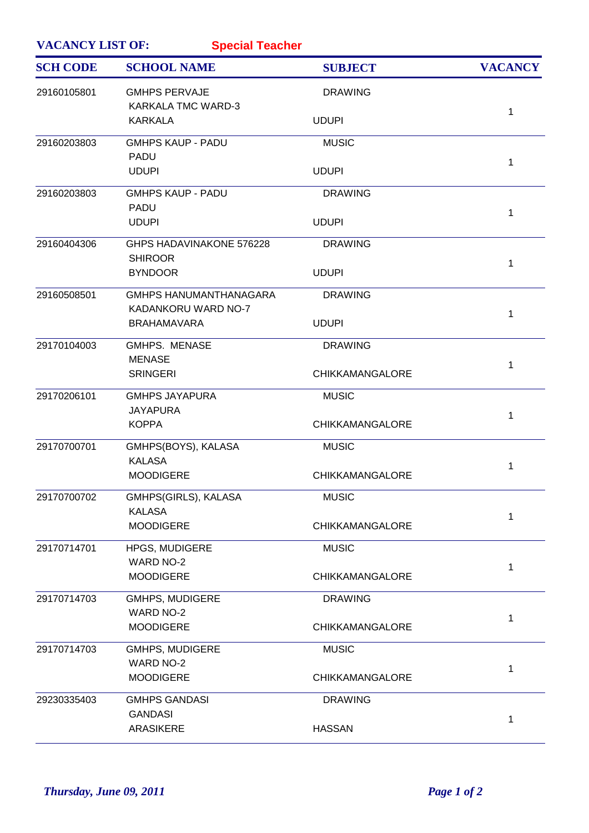| <b>VACANCY LIST OF:</b> | <b>Special Teacher</b>                               |                        |                |
|-------------------------|------------------------------------------------------|------------------------|----------------|
| <b>SCH CODE</b>         | <b>SCHOOL NAME</b>                                   | <b>SUBJECT</b>         | <b>VACANCY</b> |
| 29160105801             | <b>GMHPS PERVAJE</b><br>KARKALA TMC WARD-3           | <b>DRAWING</b>         | 1              |
|                         | <b>KARKALA</b>                                       | <b>UDUPI</b>           |                |
| 29160203803             | <b>GMHPS KAUP - PADU</b>                             | <b>MUSIC</b>           |                |
|                         | <b>PADU</b><br><b>UDUPI</b>                          | <b>UDUPI</b>           | 1              |
| 29160203803             | <b>GMHPS KAUP - PADU</b>                             | <b>DRAWING</b>         |                |
|                         | <b>PADU</b><br><b>UDUPI</b>                          | <b>UDUPI</b>           | 1              |
| 29160404306             | GHPS HADAVINAKONE 576228<br><b>SHIROOR</b>           | <b>DRAWING</b>         |                |
|                         | <b>BYNDOOR</b>                                       | <b>UDUPI</b>           | 1              |
| 29160508501             | <b>GMHPS HANUMANTHANAGARA</b><br>KADANKORU WARD NO-7 | <b>DRAWING</b>         |                |
|                         | <b>BRAHAMAVARA</b>                                   | <b>UDUPI</b>           | 1              |
| 29170104003             | <b>GMHPS. MENASE</b>                                 | <b>DRAWING</b>         |                |
|                         | <b>MENASE</b><br><b>SRINGERI</b>                     | <b>CHIKKAMANGALORE</b> | 1              |
| 29170206101             | <b>GMHPS JAYAPURA</b>                                | <b>MUSIC</b>           |                |
|                         | <b>JAYAPURA</b><br><b>KOPPA</b>                      | <b>CHIKKAMANGALORE</b> | 1              |
| 29170700701             | GMHPS(BOYS), KALASA<br><b>KALASA</b>                 | <b>MUSIC</b>           |                |
|                         | <b>MOODIGERE</b>                                     | <b>CHIKKAMANGALORE</b> | 1              |
| 29170700702             | GMHPS(GIRLS), KALASA                                 | <b>MUSIC</b>           |                |
|                         | <b>KALASA</b><br><b>MOODIGERE</b>                    | <b>CHIKKAMANGALORE</b> | 1              |
| 29170714701             | <b>HPGS, MUDIGERE</b>                                | <b>MUSIC</b>           |                |
|                         | WARD NO-2<br><b>MOODIGERE</b>                        | <b>CHIKKAMANGALORE</b> | 1              |
| 29170714703             | <b>GMHPS, MUDIGERE</b>                               | <b>DRAWING</b>         |                |
|                         | <b>WARD NO-2</b><br><b>MOODIGERE</b>                 | <b>CHIKKAMANGALORE</b> | 1              |
| 29170714703             | <b>GMHPS, MUDIGERE</b>                               | <b>MUSIC</b>           |                |
|                         | <b>WARD NO-2</b><br><b>MOODIGERE</b>                 | <b>CHIKKAMANGALORE</b> | 1              |
| 29230335403             | <b>GMHPS GANDASI</b>                                 | <b>DRAWING</b>         |                |
|                         | <b>GANDASI</b><br><b>ARASIKERE</b>                   | <b>HASSAN</b>          | 1              |